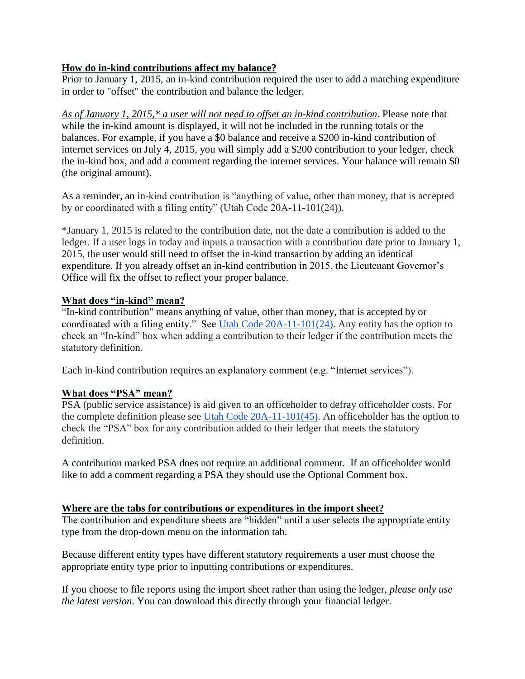## **How do in-kind contributions affect my balance?**

Prior to January 1, 2015, an in-kind contribution required the user to add a matching expenditure in order to "offset" the contribution and balance the ledger.

*As of January 1, 2015,\* a user will not need to offset an in-kind contribution*. Please note that while the in-kind amount is displayed, it will not be included in the running totals or the balances. For example, if you have a \$0 balance and receive a \$200 in-kind contribution of internet services on July 4, 2015, you will simply add a \$200 contribution to your ledger, check the in-kind box, and add a comment regarding the internet services. Your balance will remain \$0 (the original amount).

As a reminder, an in-kind contribution is "anything of value, other than money, that is accepted by or coordinated with a filing entity" (Utah Code 20A-11-101(24)).

\*January 1, 2015 is related to the contribution date, not the date a contribution is added to the ledger. If a user logs in today and inputs a transaction with a contribution date prior to January 1, 2015, the user would still need to offset the in-kind transaction by adding an identical expenditure. If you already offset an in-kind contribution in 2015, the Lieutenant Governor's Office will fix the offset to reflect your proper balance.

### **What does "in-kind" mean?**

"In-kind contribution" means anything of value, other than money, that is accepted by or coordinated with a filing entity." See [Utah Code 20A-11-101\(24\).](http://le.utah.gov/xcode/Title20A/Chapter11/20A-11-S101.html?v=C20A-11-S101_2015051220150512) Any entity has the option to check an "In-kind" box when adding a contribution to their ledger if the contribution meets the statutory definition.

Each in-kind contribution requires an explanatory comment (e.g. "Internet services").

# **What does "PSA" mean?**

PSA (public service assistance) is aid given to an officeholder to defray officeholder costs. For the complete definition please se[e](http://le.utah.gov/xcode/Title20A/Chapter11/20A-11-S101.html?v=C20A-11-S101_2015051220150512) [Utah Code 20A-11-101\(45\).](http://le.utah.gov/xcode/Title20A/Chapter11/20A-11-S101.html?v=C20A-11-S101_2015051220150512) An officeholder has the option to check the "PSA" box for any contribution added to their ledger that meets the statutory definition.

A contribution marked PSA does not require an additional comment. If an officeholder would like to add a comment regarding a PSA they should use the Optional Comment box.

### **Where are the tabs for contributions or expenditures in the import sheet?**

The contribution and expenditure sheets are "hidden" until a user selects the appropriate entity type from the drop-down menu on the information tab.

Because different entity types have different statutory requirements a user must choose the appropriate entity type prior to inputting contributions or expenditures.

If you choose to file reports using the import sheet rather than using the ledger, *please only use the latest version*. You can download this directly through your financial ledger.